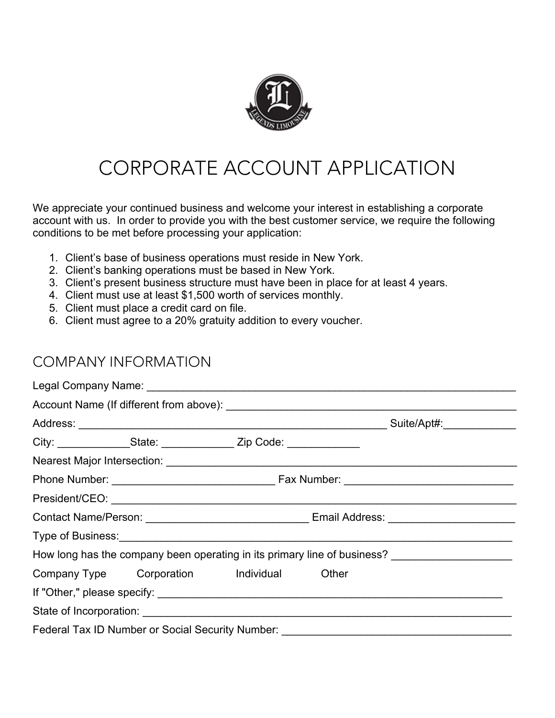

# CORPORATE ACCOUNT APPLICATION

We appreciate your continued business and welcome your interest in establishing a corporate account with us. In order to provide you with the best customer service, we require the following conditions to be met before processing your application:

- 1. Client's base of business operations must reside in New York.
- 2. Client's banking operations must be based in New York.
- 3. Client's present business structure must have been in place for at least 4 years.
- 4. Client must use at least \$1,500 worth of services monthly.
- 5. Client must place a credit card on file.
- 6. Client must agree to a 20% gratuity addition to every voucher.

### COMPANY INFORMATION

|                                                                                                      | City: __________________State: ______________________Zip Code: _________________ |  |  |                                                                                                                                                                                                                               |  |
|------------------------------------------------------------------------------------------------------|----------------------------------------------------------------------------------|--|--|-------------------------------------------------------------------------------------------------------------------------------------------------------------------------------------------------------------------------------|--|
|                                                                                                      |                                                                                  |  |  |                                                                                                                                                                                                                               |  |
|                                                                                                      |                                                                                  |  |  |                                                                                                                                                                                                                               |  |
|                                                                                                      |                                                                                  |  |  |                                                                                                                                                                                                                               |  |
|                                                                                                      |                                                                                  |  |  |                                                                                                                                                                                                                               |  |
|                                                                                                      |                                                                                  |  |  | Type of Business: 1999 Contract to the Second State of Business and State of Business and State of Business and State of Business and State of Business and State of Business and State of Business and State of Business and |  |
| How long has the company been operating in its primary line of business? ___________________________ |                                                                                  |  |  |                                                                                                                                                                                                                               |  |
|                                                                                                      | Company Type Corporation Individual Other                                        |  |  |                                                                                                                                                                                                                               |  |
|                                                                                                      |                                                                                  |  |  |                                                                                                                                                                                                                               |  |
|                                                                                                      |                                                                                  |  |  |                                                                                                                                                                                                                               |  |
|                                                                                                      | Federal Tax ID Number or Social Security Number:                                 |  |  |                                                                                                                                                                                                                               |  |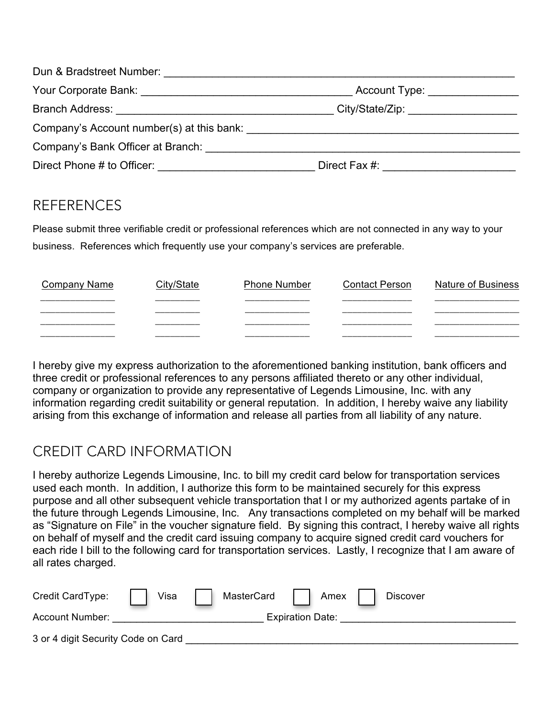| Dun & Bradstreet Number: University Public Public Public Public Public Public Public Public Public Public Public Public Public Public Public Public Public Public Public Public Public Public Public Public Public Public Publ |                               |  |
|--------------------------------------------------------------------------------------------------------------------------------------------------------------------------------------------------------------------------------|-------------------------------|--|
| Your Corporate Bank: Vour Corporate Bank:                                                                                                                                                                                      | Account Type: _______________ |  |
| Branch Address: Entry the Second Second Second Second Second Second Second Second Second Second Second Second Second Second Second Second Second Second Second Second Second Second Second Second Second Second Second Second  |                               |  |
| Company's Account number(s) at this bank:                                                                                                                                                                                      |                               |  |
| Company's Bank Officer at Branch:                                                                                                                                                                                              |                               |  |
| Direct Phone # to Officer:                                                                                                                                                                                                     | Direct Fax #:                 |  |

# REFERENCES

Please submit three verifiable credit or professional references which are not connected in any way to your business. References which frequently use your company's services are preferable.

| Company Name | Citv/State | <b>Phone Number</b> | <b>Contact Person</b> | <b>Nature of Business</b> |
|--------------|------------|---------------------|-----------------------|---------------------------|
|              |            |                     |                       |                           |
|              |            |                     |                       |                           |
|              | __________ | _____________       | ___________           |                           |
|              |            |                     |                       |                           |

I hereby give my express authorization to the aforementioned banking institution, bank officers and three credit or professional references to any persons affiliated thereto or any other individual, company or organization to provide any representative of Legends Limousine, Inc. with any information regarding credit suitability or general reputation. In addition, I hereby waive any liability arising from this exchange of information and release all parties from all liability of any nature.

# CREDIT CARD INFORMATION

I hereby authorize Legends Limousine, Inc. to bill my credit card below for transportation services used each month. In addition, I authorize this form to be maintained securely for this express purpose and all other subsequent vehicle transportation that I or my authorized agents partake of in the future through Legends Limousine, Inc. Any transactions completed on my behalf will be marked as "Signature on File" in the voucher signature field. By signing this contract, I hereby waive all rights on behalf of myself and the credit card issuing company to acquire signed credit card vouchers for each ride I bill to the following card for transportation services. Lastly, I recognize that I am aware of all rates charged.

| Credit CardType:                   | Visa | MasterCard | Amex                    | <b>Discover</b> |  |
|------------------------------------|------|------------|-------------------------|-----------------|--|
| Account Number:                    |      |            | <b>Expiration Date:</b> |                 |  |
| 3 or 4 digit Security Code on Card |      |            |                         |                 |  |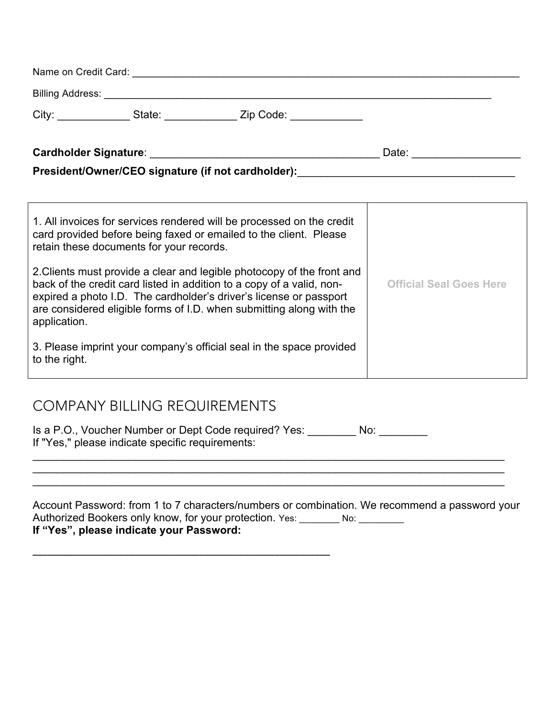| City:                        | State: ______ | Zip Code: The Code Service Service Service Service Service Service Service Service Service Service S |       |  |
|------------------------------|---------------|------------------------------------------------------------------------------------------------------|-------|--|
| <b>Cardholder Signature:</b> |               |                                                                                                      | Date: |  |

President/Owner/CEO signature (if not cardholder): \_\_\_\_\_\_\_\_\_\_\_\_\_\_\_\_\_\_\_\_\_\_\_\_\_\_\_\_\_

| 1. All invoices for services rendered will be processed on the credit<br>card provided before being faxed or emailed to the client. Please<br>retain these documents for your records.                                                                                                                        |                                |
|---------------------------------------------------------------------------------------------------------------------------------------------------------------------------------------------------------------------------------------------------------------------------------------------------------------|--------------------------------|
| 2. Clients must provide a clear and legible photocopy of the front and<br>back of the credit card listed in addition to a copy of a valid, non-<br>expired a photo I.D. The cardholder's driver's license or passport<br>are considered eligible forms of I.D. when submitting along with the<br>application. | <b>Official Seal Goes Here</b> |
| 3. Please imprint your company's official seal in the space provided<br>to the right.                                                                                                                                                                                                                         |                                |

# COMPANY BILLING REQUIREMENTS

**\_\_\_\_\_\_\_\_\_\_\_\_\_\_\_\_\_\_\_\_\_\_\_\_\_\_\_\_\_\_\_\_\_\_\_\_\_\_\_\_\_\_\_\_\_\_\_\_\_\_\_\_\_\_\_\_\_\_\_**

Is a P.O., Voucher Number or Dept Code required? Yes: \_\_\_\_\_\_\_\_ No: \_\_\_\_\_\_\_\_ If "Yes," please indicate specific requirements:

Account Password: from 1 to 7 characters/numbers or combination. We recommend a password your Authorized Bookers only know, for your protection. Yes: \_\_\_\_\_\_\_ No: \_\_\_\_\_\_\_\_ **If "Yes", please indicate your Password:** 

 $\mathcal{L}_\mathcal{L} = \mathcal{L}_\mathcal{L} = \mathcal{L}_\mathcal{L} = \mathcal{L}_\mathcal{L} = \mathcal{L}_\mathcal{L} = \mathcal{L}_\mathcal{L} = \mathcal{L}_\mathcal{L} = \mathcal{L}_\mathcal{L} = \mathcal{L}_\mathcal{L} = \mathcal{L}_\mathcal{L} = \mathcal{L}_\mathcal{L} = \mathcal{L}_\mathcal{L} = \mathcal{L}_\mathcal{L} = \mathcal{L}_\mathcal{L} = \mathcal{L}_\mathcal{L} = \mathcal{L}_\mathcal{L} = \mathcal{L}_\mathcal{L}$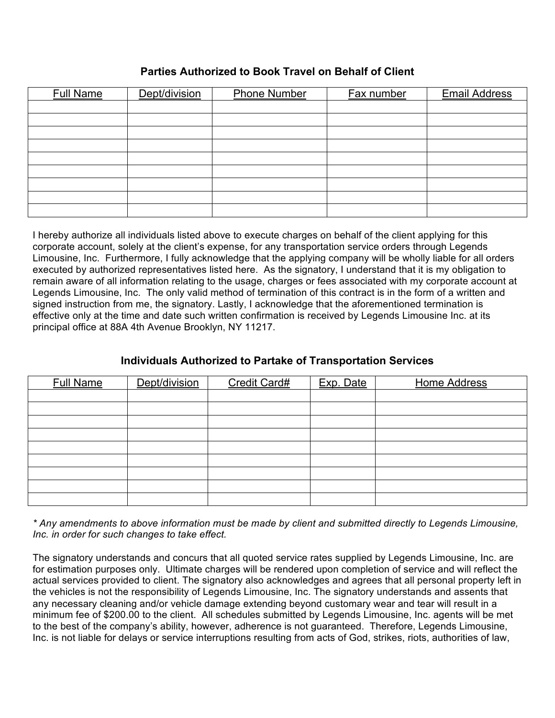#### **Parties Authorized to Book Travel on Behalf of Client**

| <b>Full Name</b> | Dept/division | <b>Phone Number</b> | <b>Fax number</b> | <b>Email Address</b> |
|------------------|---------------|---------------------|-------------------|----------------------|
|                  |               |                     |                   |                      |
|                  |               |                     |                   |                      |
|                  |               |                     |                   |                      |
|                  |               |                     |                   |                      |
|                  |               |                     |                   |                      |
|                  |               |                     |                   |                      |
|                  |               |                     |                   |                      |
|                  |               |                     |                   |                      |
|                  |               |                     |                   |                      |

I hereby authorize all individuals listed above to execute charges on behalf of the client applying for this corporate account, solely at the client's expense, for any transportation service orders through Legends Limousine, Inc. Furthermore, I fully acknowledge that the applying company will be wholly liable for all orders executed by authorized representatives listed here. As the signatory, I understand that it is my obligation to remain aware of all information relating to the usage, charges or fees associated with my corporate account at Legends Limousine, Inc. The only valid method of termination of this contract is in the form of a written and signed instruction from me, the signatory. Lastly, I acknowledge that the aforementioned termination is effective only at the time and date such written confirmation is received by Legends Limousine Inc. at its principal office at 88A 4th Avenue Brooklyn, NY 11217.

### **Individuals Authorized to Partake of Transportation Services**

| <b>Full Name</b> | Dept/division | Credit Card# | Exp. Date | <b>Home Address</b> |
|------------------|---------------|--------------|-----------|---------------------|
|                  |               |              |           |                     |
|                  |               |              |           |                     |
|                  |               |              |           |                     |
|                  |               |              |           |                     |
|                  |               |              |           |                     |
|                  |               |              |           |                     |
|                  |               |              |           |                     |
|                  |               |              |           |                     |
|                  |               |              |           |                     |

*\* Any amendments to above information must be made by client and submitted directly to Legends Limousine, Inc. in order for such changes to take effect.*

The signatory understands and concurs that all quoted service rates supplied by Legends Limousine, Inc. are for estimation purposes only. Ultimate charges will be rendered upon completion of service and will reflect the actual services provided to client. The signatory also acknowledges and agrees that all personal property left in the vehicles is not the responsibility of Legends Limousine, Inc. The signatory understands and assents that any necessary cleaning and/or vehicle damage extending beyond customary wear and tear will result in a minimum fee of \$200.00 to the client. All schedules submitted by Legends Limousine, Inc. agents will be met to the best of the company's ability, however, adherence is not guaranteed. Therefore, Legends Limousine, Inc. is not liable for delays or service interruptions resulting from acts of God, strikes, riots, authorities of law,